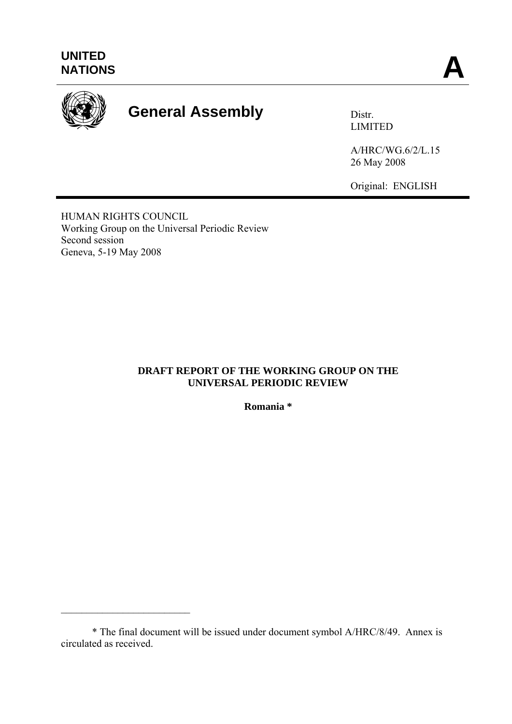

# General Assembly **Distr.**

LIMITED

A/HRC/WG.6/2/L.15 26 May 2008

Original: ENGLISH

HUMAN RIGHTS COUNCIL Working Group on the Universal Periodic Review Second session Geneva, 5-19 May 2008

 $\mathcal{L}_\text{max}$  , and the set of the set of the set of the set of the set of the set of the set of the set of the set of the set of the set of the set of the set of the set of the set of the set of the set of the set of the

## **DRAFT REPORT OF THE WORKING GROUP ON THE UNIVERSAL PERIODIC REVIEW**

**Romania \*** 

 <sup>\*</sup> The final document will be issued under document symbol A/HRC/8/49. Annex is circulated as received.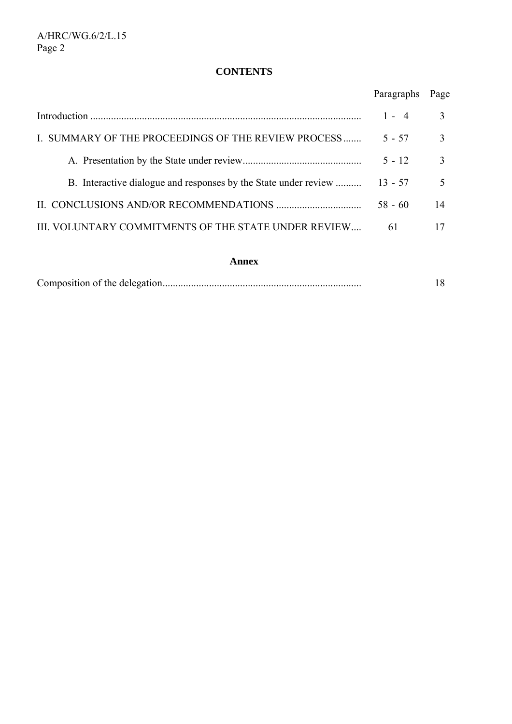# **CONTENTS**

|                                                                 | Paragraphs | Page                     |
|-----------------------------------------------------------------|------------|--------------------------|
|                                                                 | $1 - 4$    | 3                        |
| I. SUMMARY OF THE PROCEEDINGS OF THE REVIEW PROCESS             | $5 - 57$   | 3                        |
|                                                                 | $5 - 12$   | 3                        |
| B. Interactive dialogue and responses by the State under review | $13 - 57$  | $\overline{\mathcal{L}}$ |
|                                                                 | $58 - 60$  | 14                       |
| III. VOLUNTARY COMMITMENTS OF THE STATE UNDER REVIEW            | 61         | 17                       |

#### **Annex**

|--|--|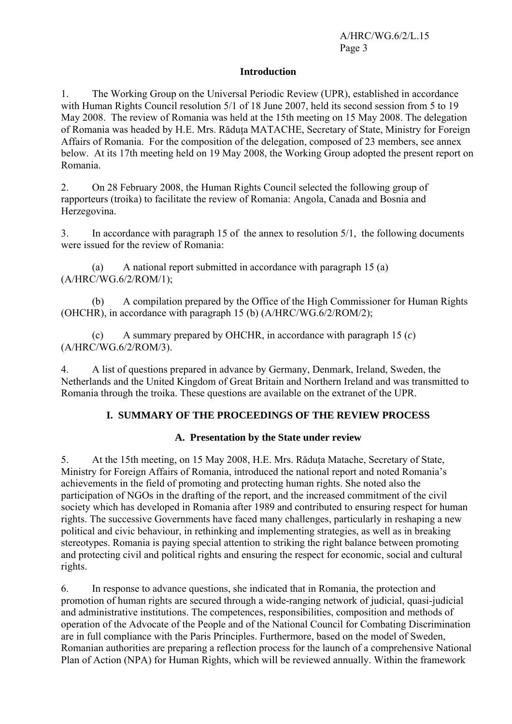#### **Introduction**

1. The Working Group on the Universal Periodic Review (UPR), established in accordance with Human Rights Council resolution 5/1 of 18 June 2007, held its second session from 5 to 19 May 2008. The review of Romania was held at the 15th meeting on 15 May 2008. The delegation of Romania was headed by H.E. Mrs. Răduta MATACHE, Secretary of State, Ministry for Foreign Affairs of Romania. For the composition of the delegation, composed of 23 members, see annex below. At its 17th meeting held on 19 May 2008, the Working Group adopted the present report on Romania.

2. On 28 February 2008, the Human Rights Council selected the following group of rapporteurs (troika) to facilitate the review of Romania: Angola, Canada and Bosnia and Herzegovina.

3. In accordance with paragraph 15 of the annex to resolution 5/1, the following documents were issued for the review of Romania:

 (a) A national report submitted in accordance with paragraph 15 (a) (A/HRC/WG.6/2/ROM/1);

 (b) A compilation prepared by the Office of the High Commissioner for Human Rights (OHCHR), in accordance with paragraph 15 (b) (A/HRC/WG.6/2/ROM/2);

 (c) A summary prepared by OHCHR, in accordance with paragraph 15 (*c*) (A/HRC/WG.6/2/ROM/3).

4. A list of questions prepared in advance by Germany, Denmark, Ireland, Sweden, the Netherlands and the United Kingdom of Great Britain and Northern Ireland and was transmitted to Romania through the troika. These questions are available on the extranet of the UPR.

## **I. SUMMARY OF THE PROCEEDINGS OF THE REVIEW PROCESS**

## **A. Presentation by the State under review**

5. At the 15th meeting, on 15 May 2008, H.E. Mrs. Răduţa Matache, Secretary of State, Ministry for Foreign Affairs of Romania, introduced the national report and noted Romania's achievements in the field of promoting and protecting human rights. She noted also the participation of NGOs in the drafting of the report, and the increased commitment of the civil society which has developed in Romania after 1989 and contributed to ensuring respect for human rights. The successive Governments have faced many challenges, particularly in reshaping a new political and civic behaviour, in rethinking and implementing strategies, as well as in breaking stereotypes. Romania is paying special attention to striking the right balance between promoting and protecting civil and political rights and ensuring the respect for economic, social and cultural rights.

6. In response to advance questions, she indicated that in Romania, the protection and promotion of human rights are secured through a wide-ranging network of judicial, quasi-judicial and administrative institutions. The competences, responsibilities, composition and methods of operation of the Advocate of the People and of the National Council for Combating Discrimination are in full compliance with the Paris Principles. Furthermore, based on the model of Sweden, Romanian authorities are preparing a reflection process for the launch of a comprehensive National Plan of Action (NPA) for Human Rights, which will be reviewed annually. Within the framework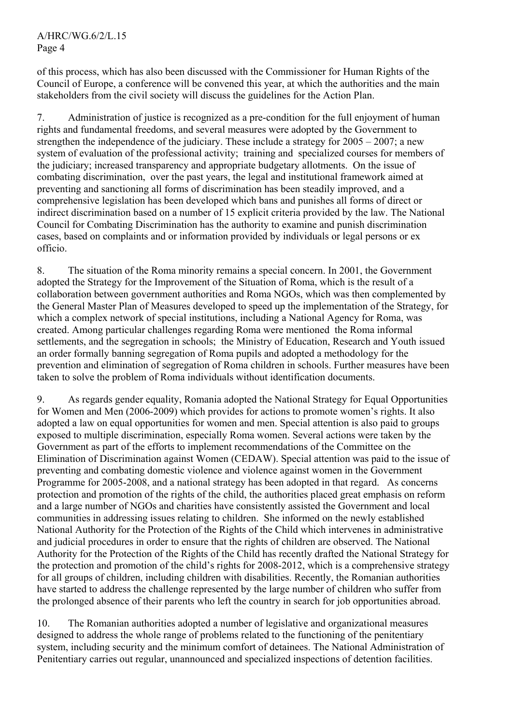of this process, which has also been discussed with the Commissioner for Human Rights of the Council of Europe, a conference will be convened this year, at which the authorities and the main stakeholders from the civil society will discuss the guidelines for the Action Plan.

7. Administration of justice is recognized as a pre-condition for the full enjoyment of human rights and fundamental freedoms, and several measures were adopted by the Government to strengthen the independence of the judiciary. These include a strategy for 2005 – 2007; a new system of evaluation of the professional activity; training and specialized courses for members of the judiciary; increased transparency and appropriate budgetary allotments. On the issue of combating discrimination, over the past years, the legal and institutional framework aimed at preventing and sanctioning all forms of discrimination has been steadily improved, and a comprehensive legislation has been developed which bans and punishes all forms of direct or indirect discrimination based on a number of 15 explicit criteria provided by the law. The National Council for Combating Discrimination has the authority to examine and punish discrimination cases, based on complaints and or information provided by individuals or legal persons or ex officio.

8. The situation of the Roma minority remains a special concern. In 2001, the Government adopted the Strategy for the Improvement of the Situation of Roma, which is the result of a collaboration between government authorities and Roma NGOs, which was then complemented by the General Master Plan of Measures developed to speed up the implementation of the Strategy, for which a complex network of special institutions, including a National Agency for Roma, was created. Among particular challenges regarding Roma were mentioned the Roma informal settlements, and the segregation in schools; the Ministry of Education, Research and Youth issued an order formally banning segregation of Roma pupils and adopted a methodology for the prevention and elimination of segregation of Roma children in schools. Further measures have been taken to solve the problem of Roma individuals without identification documents.

9. As regards gender equality, Romania adopted the National Strategy for Equal Opportunities for Women and Men (2006-2009) which provides for actions to promote women's rights. It also adopted a law on equal opportunities for women and men. Special attention is also paid to groups exposed to multiple discrimination, especially Roma women. Several actions were taken by the Government as part of the efforts to implement recommendations of the Committee on the Elimination of Discrimination against Women (CEDAW). Special attention was paid to the issue of preventing and combating domestic violence and violence against women in the Government Programme for 2005-2008, and a national strategy has been adopted in that regard. As concerns protection and promotion of the rights of the child, the authorities placed great emphasis on reform and a large number of NGOs and charities have consistently assisted the Government and local communities in addressing issues relating to children. She informed on the newly established National Authority for the Protection of the Rights of the Child which intervenes in administrative and judicial procedures in order to ensure that the rights of children are observed. The National Authority for the Protection of the Rights of the Child has recently drafted the National Strategy for the protection and promotion of the child's rights for 2008-2012, which is a comprehensive strategy for all groups of children, including children with disabilities. Recently, the Romanian authorities have started to address the challenge represented by the large number of children who suffer from the prolonged absence of their parents who left the country in search for job opportunities abroad.

10. The Romanian authorities adopted a number of legislative and organizational measures designed to address the whole range of problems related to the functioning of the penitentiary system, including security and the minimum comfort of detainees. The National Administration of Penitentiary carries out regular, unannounced and specialized inspections of detention facilities.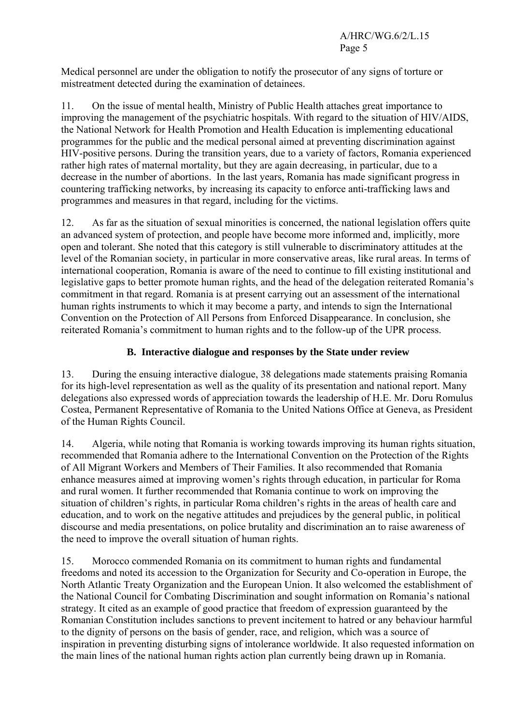Medical personnel are under the obligation to notify the prosecutor of any signs of torture or mistreatment detected during the examination of detainees.

11. On the issue of mental health, Ministry of Public Health attaches great importance to improving the management of the psychiatric hospitals. With regard to the situation of HIV/AIDS, the National Network for Health Promotion and Health Education is implementing educational programmes for the public and the medical personal aimed at preventing discrimination against HIV-positive persons. During the transition years, due to a variety of factors, Romania experienced rather high rates of maternal mortality, but they are again decreasing, in particular, due to a decrease in the number of abortions. In the last years, Romania has made significant progress in countering trafficking networks, by increasing its capacity to enforce anti-trafficking laws and programmes and measures in that regard, including for the victims.

12. As far as the situation of sexual minorities is concerned, the national legislation offers quite an advanced system of protection, and people have become more informed and, implicitly, more open and tolerant. She noted that this category is still vulnerable to discriminatory attitudes at the level of the Romanian society, in particular in more conservative areas, like rural areas. In terms of international cooperation, Romania is aware of the need to continue to fill existing institutional and legislative gaps to better promote human rights, and the head of the delegation reiterated Romania's commitment in that regard. Romania is at present carrying out an assessment of the international human rights instruments to which it may become a party, and intends to sign the International Convention on the Protection of All Persons from Enforced Disappearance. In conclusion, she reiterated Romania's commitment to human rights and to the follow-up of the UPR process.

## **B. Interactive dialogue and responses by the State under review**

13. During the ensuing interactive dialogue, 38 delegations made statements praising Romania for its high-level representation as well as the quality of its presentation and national report. Many delegations also expressed words of appreciation towards the leadership of H.E. Mr. Doru Romulus Costea, Permanent Representative of Romania to the United Nations Office at Geneva, as President of the Human Rights Council.

14. Algeria, while noting that Romania is working towards improving its human rights situation, recommended that Romania adhere to the International Convention on the Protection of the Rights of All Migrant Workers and Members of Their Families. It also recommended that Romania enhance measures aimed at improving women's rights through education, in particular for Roma and rural women. It further recommended that Romania continue to work on improving the situation of children's rights, in particular Roma children's rights in the areas of health care and education, and to work on the negative attitudes and prejudices by the general public, in political discourse and media presentations, on police brutality and discrimination an to raise awareness of the need to improve the overall situation of human rights.

15. Morocco commended Romania on its commitment to human rights and fundamental freedoms and noted its accession to the Organization for Security and Co-operation in Europe, the North Atlantic Treaty Organization and the European Union. It also welcomed the establishment of the National Council for Combating Discrimination and sought information on Romania's national strategy. It cited as an example of good practice that freedom of expression guaranteed by the Romanian Constitution includes sanctions to prevent incitement to hatred or any behaviour harmful to the dignity of persons on the basis of gender, race, and religion, which was a source of inspiration in preventing disturbing signs of intolerance worldwide. It also requested information on the main lines of the national human rights action plan currently being drawn up in Romania.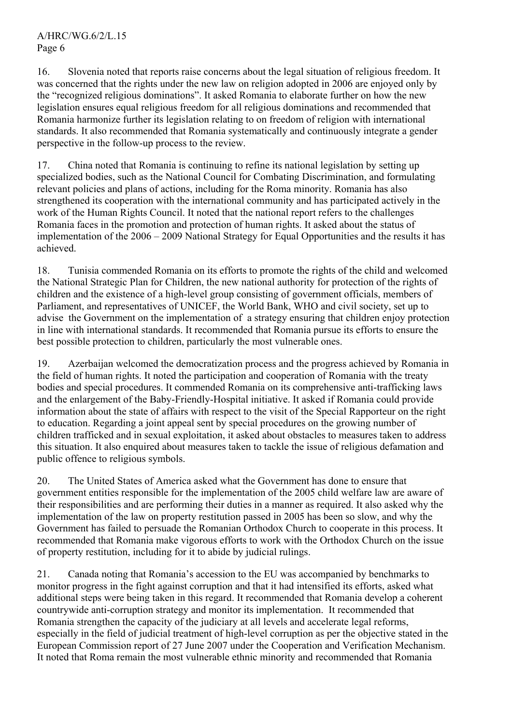16. Slovenia noted that reports raise concerns about the legal situation of religious freedom. It was concerned that the rights under the new law on religion adopted in 2006 are enjoyed only by the "recognized religious dominations". It asked Romania to elaborate further on how the new legislation ensures equal religious freedom for all religious dominations and recommended that Romania harmonize further its legislation relating to on freedom of religion with international standards. It also recommended that Romania systematically and continuously integrate a gender perspective in the follow-up process to the review.

17. China noted that Romania is continuing to refine its national legislation by setting up specialized bodies, such as the National Council for Combating Discrimination, and formulating relevant policies and plans of actions, including for the Roma minority. Romania has also strengthened its cooperation with the international community and has participated actively in the work of the Human Rights Council. It noted that the national report refers to the challenges Romania faces in the promotion and protection of human rights. It asked about the status of implementation of the 2006 – 2009 National Strategy for Equal Opportunities and the results it has achieved.

18. Tunisia commended Romania on its efforts to promote the rights of the child and welcomed the National Strategic Plan for Children, the new national authority for protection of the rights of children and the existence of a high-level group consisting of government officials, members of Parliament, and representatives of UNICEF, the World Bank, WHO and civil society, set up to advise the Government on the implementation of a strategy ensuring that children enjoy protection in line with international standards. It recommended that Romania pursue its efforts to ensure the best possible protection to children, particularly the most vulnerable ones.

19. Azerbaijan welcomed the democratization process and the progress achieved by Romania in the field of human rights. It noted the participation and cooperation of Romania with the treaty bodies and special procedures. It commended Romania on its comprehensive anti-trafficking laws and the enlargement of the Baby-Friendly-Hospital initiative. It asked if Romania could provide information about the state of affairs with respect to the visit of the Special Rapporteur on the right to education. Regarding a joint appeal sent by special procedures on the growing number of children trafficked and in sexual exploitation, it asked about obstacles to measures taken to address this situation. It also enquired about measures taken to tackle the issue of religious defamation and public offence to religious symbols.

20. The United States of America asked what the Government has done to ensure that government entities responsible for the implementation of the 2005 child welfare law are aware of their responsibilities and are performing their duties in a manner as required. It also asked why the implementation of the law on property restitution passed in 2005 has been so slow, and why the Government has failed to persuade the Romanian Orthodox Church to cooperate in this process. It recommended that Romania make vigorous efforts to work with the Orthodox Church on the issue of property restitution, including for it to abide by judicial rulings.

21. Canada noting that Romania's accession to the EU was accompanied by benchmarks to monitor progress in the fight against corruption and that it had intensified its efforts, asked what additional steps were being taken in this regard. It recommended that Romania develop a coherent countrywide anti-corruption strategy and monitor its implementation. It recommended that Romania strengthen the capacity of the judiciary at all levels and accelerate legal reforms, especially in the field of judicial treatment of high-level corruption as per the objective stated in the European Commission report of 27 June 2007 under the Cooperation and Verification Mechanism. It noted that Roma remain the most vulnerable ethnic minority and recommended that Romania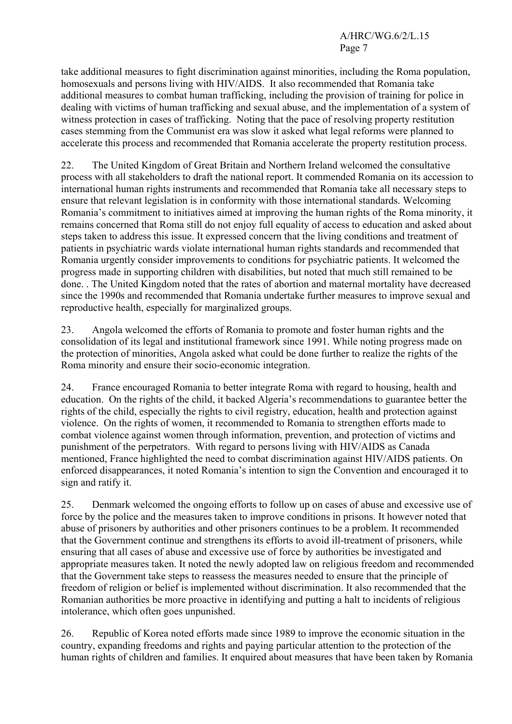take additional measures to fight discrimination against minorities, including the Roma population, homosexuals and persons living with HIV/AIDS. It also recommended that Romania take additional measures to combat human trafficking, including the provision of training for police in dealing with victims of human trafficking and sexual abuse, and the implementation of a system of witness protection in cases of trafficking. Noting that the pace of resolving property restitution cases stemming from the Communist era was slow it asked what legal reforms were planned to accelerate this process and recommended that Romania accelerate the property restitution process.

22. The United Kingdom of Great Britain and Northern Ireland welcomed the consultative process with all stakeholders to draft the national report. It commended Romania on its accession to international human rights instruments and recommended that Romania take all necessary steps to ensure that relevant legislation is in conformity with those international standards. Welcoming Romania's commitment to initiatives aimed at improving the human rights of the Roma minority, it remains concerned that Roma still do not enjoy full equality of access to education and asked about steps taken to address this issue. It expressed concern that the living conditions and treatment of patients in psychiatric wards violate international human rights standards and recommended that Romania urgently consider improvements to conditions for psychiatric patients. It welcomed the progress made in supporting children with disabilities, but noted that much still remained to be done. . The United Kingdom noted that the rates of abortion and maternal mortality have decreased since the 1990s and recommended that Romania undertake further measures to improve sexual and reproductive health, especially for marginalized groups.

23. Angola welcomed the efforts of Romania to promote and foster human rights and the consolidation of its legal and institutional framework since 1991. While noting progress made on the protection of minorities, Angola asked what could be done further to realize the rights of the Roma minority and ensure their socio-economic integration.

24. France encouraged Romania to better integrate Roma with regard to housing, health and education. On the rights of the child, it backed Algeria's recommendations to guarantee better the rights of the child, especially the rights to civil registry, education, health and protection against violence. On the rights of women, it recommended to Romania to strengthen efforts made to combat violence against women through information, prevention, and protection of victims and punishment of the perpetrators. With regard to persons living with HIV/AIDS as Canada mentioned, France highlighted the need to combat discrimination against HIV/AIDS patients. On enforced disappearances, it noted Romania's intention to sign the Convention and encouraged it to sign and ratify it.

25. Denmark welcomed the ongoing efforts to follow up on cases of abuse and excessive use of force by the police and the measures taken to improve conditions in prisons. It however noted that abuse of prisoners by authorities and other prisoners continues to be a problem. It recommended that the Government continue and strengthens its efforts to avoid ill-treatment of prisoners, while ensuring that all cases of abuse and excessive use of force by authorities be investigated and appropriate measures taken. It noted the newly adopted law on religious freedom and recommended that the Government take steps to reassess the measures needed to ensure that the principle of freedom of religion or belief is implemented without discrimination. It also recommended that the Romanian authorities be more proactive in identifying and putting a halt to incidents of religious intolerance, which often goes unpunished.

26. Republic of Korea noted efforts made since 1989 to improve the economic situation in the country, expanding freedoms and rights and paying particular attention to the protection of the human rights of children and families. It enquired about measures that have been taken by Romania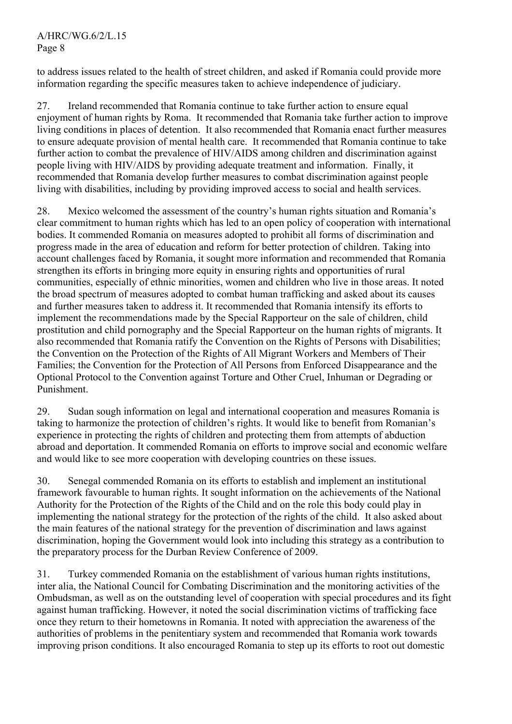to address issues related to the health of street children, and asked if Romania could provide more information regarding the specific measures taken to achieve independence of judiciary.

27. Ireland recommended that Romania continue to take further action to ensure equal enjoyment of human rights by Roma. It recommended that Romania take further action to improve living conditions in places of detention. It also recommended that Romania enact further measures to ensure adequate provision of mental health care. It recommended that Romania continue to take further action to combat the prevalence of HIV/AIDS among children and discrimination against people living with HIV/AIDS by providing adequate treatment and information. Finally, it recommended that Romania develop further measures to combat discrimination against people living with disabilities, including by providing improved access to social and health services.

28. Mexico welcomed the assessment of the country's human rights situation and Romania's clear commitment to human rights which has led to an open policy of cooperation with international bodies. It commended Romania on measures adopted to prohibit all forms of discrimination and progress made in the area of education and reform for better protection of children. Taking into account challenges faced by Romania, it sought more information and recommended that Romania strengthen its efforts in bringing more equity in ensuring rights and opportunities of rural communities, especially of ethnic minorities, women and children who live in those areas. It noted the broad spectrum of measures adopted to combat human trafficking and asked about its causes and further measures taken to address it. It recommended that Romania intensify its efforts to implement the recommendations made by the Special Rapporteur on the sale of children, child prostitution and child pornography and the Special Rapporteur on the human rights of migrants. It also recommended that Romania ratify the Convention on the Rights of Persons with Disabilities; the Convention on the Protection of the Rights of All Migrant Workers and Members of Their Families; the Convention for the Protection of All Persons from Enforced Disappearance and the Optional Protocol to the Convention against Torture and Other Cruel, Inhuman or Degrading or Punishment.

29. Sudan sough information on legal and international cooperation and measures Romania is taking to harmonize the protection of children's rights. It would like to benefit from Romanian's experience in protecting the rights of children and protecting them from attempts of abduction abroad and deportation. It commended Romania on efforts to improve social and economic welfare and would like to see more cooperation with developing countries on these issues.

30. Senegal commended Romania on its efforts to establish and implement an institutional framework favourable to human rights. It sought information on the achievements of the National Authority for the Protection of the Rights of the Child and on the role this body could play in implementing the national strategy for the protection of the rights of the child. It also asked about the main features of the national strategy for the prevention of discrimination and laws against discrimination, hoping the Government would look into including this strategy as a contribution to the preparatory process for the Durban Review Conference of 2009.

31. Turkey commended Romania on the establishment of various human rights institutions, inter alia, the National Council for Combating Discrimination and the monitoring activities of the Ombudsman, as well as on the outstanding level of cooperation with special procedures and its fight against human trafficking. However, it noted the social discrimination victims of trafficking face once they return to their hometowns in Romania. It noted with appreciation the awareness of the authorities of problems in the penitentiary system and recommended that Romania work towards improving prison conditions. It also encouraged Romania to step up its efforts to root out domestic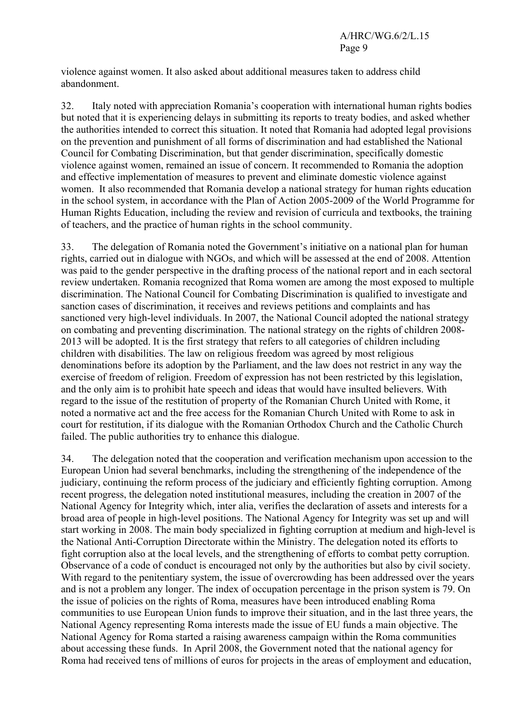violence against women. It also asked about additional measures taken to address child abandonment.

32. Italy noted with appreciation Romania's cooperation with international human rights bodies but noted that it is experiencing delays in submitting its reports to treaty bodies, and asked whether the authorities intended to correct this situation. It noted that Romania had adopted legal provisions on the prevention and punishment of all forms of discrimination and had established the National Council for Combating Discrimination, but that gender discrimination, specifically domestic violence against women, remained an issue of concern. It recommended to Romania the adoption and effective implementation of measures to prevent and eliminate domestic violence against women. It also recommended that Romania develop a national strategy for human rights education in the school system, in accordance with the Plan of Action 2005-2009 of the World Programme for Human Rights Education, including the review and revision of curricula and textbooks, the training of teachers, and the practice of human rights in the school community.

33. The delegation of Romania noted the Government's initiative on a national plan for human rights, carried out in dialogue with NGOs, and which will be assessed at the end of 2008. Attention was paid to the gender perspective in the drafting process of the national report and in each sectoral review undertaken. Romania recognized that Roma women are among the most exposed to multiple discrimination. The National Council for Combating Discrimination is qualified to investigate and sanction cases of discrimination, it receives and reviews petitions and complaints and has sanctioned very high-level individuals. In 2007, the National Council adopted the national strategy on combating and preventing discrimination. The national strategy on the rights of children 2008- 2013 will be adopted. It is the first strategy that refers to all categories of children including children with disabilities. The law on religious freedom was agreed by most religious denominations before its adoption by the Parliament, and the law does not restrict in any way the exercise of freedom of religion. Freedom of expression has not been restricted by this legislation, and the only aim is to prohibit hate speech and ideas that would have insulted believers. With regard to the issue of the restitution of property of the Romanian Church United with Rome, it noted a normative act and the free access for the Romanian Church United with Rome to ask in court for restitution, if its dialogue with the Romanian Orthodox Church and the Catholic Church failed. The public authorities try to enhance this dialogue.

34. The delegation noted that the cooperation and verification mechanism upon accession to the European Union had several benchmarks, including the strengthening of the independence of the judiciary, continuing the reform process of the judiciary and efficiently fighting corruption. Among recent progress, the delegation noted institutional measures, including the creation in 2007 of the National Agency for Integrity which, inter alia, verifies the declaration of assets and interests for a broad area of people in high-level positions. The National Agency for Integrity was set up and will start working in 2008. The main body specialized in fighting corruption at medium and high-level is the National Anti-Corruption Directorate within the Ministry. The delegation noted its efforts to fight corruption also at the local levels, and the strengthening of efforts to combat petty corruption. Observance of a code of conduct is encouraged not only by the authorities but also by civil society. With regard to the penitentiary system, the issue of overcrowding has been addressed over the years and is not a problem any longer. The index of occupation percentage in the prison system is 79. On the issue of policies on the rights of Roma, measures have been introduced enabling Roma communities to use European Union funds to improve their situation, and in the last three years, the National Agency representing Roma interests made the issue of EU funds a main objective. The National Agency for Roma started a raising awareness campaign within the Roma communities about accessing these funds. In April 2008, the Government noted that the national agency for Roma had received tens of millions of euros for projects in the areas of employment and education,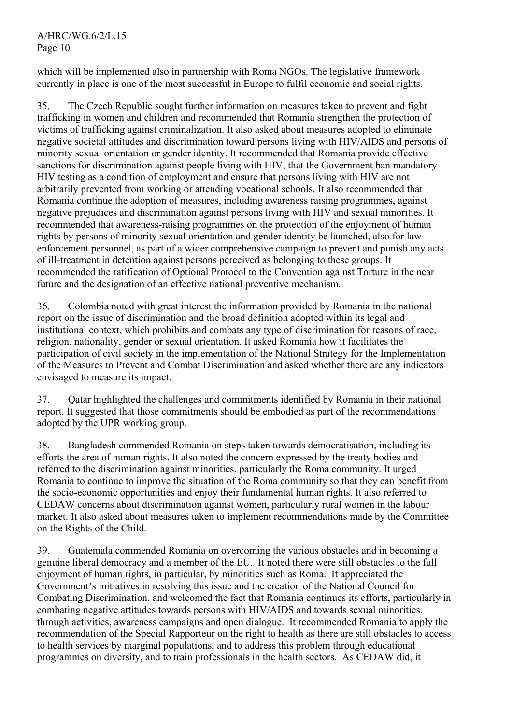which will be implemented also in partnership with Roma NGOs. The legislative framework currently in place is one of the most successful in Europe to fulfil economic and social rights.

35. The Czech Republic sought further information on measures taken to prevent and fight trafficking in women and children and recommended that Romania strengthen the protection of victims of trafficking against criminalization. It also asked about measures adopted to eliminate negative societal attitudes and discrimination toward persons living with HIV/AIDS and persons of minority sexual orientation or gender identity. It recommended that Romania provide effective sanctions for discrimination against people living with HIV, that the Government ban mandatory HIV testing as a condition of employment and ensure that persons living with HIV are not arbitrarily prevented from working or attending vocational schools. It also recommended that Romania continue the adoption of measures, including awareness raising programmes, against negative prejudices and discrimination against persons living with HIV and sexual minorities. It recommended that awareness-raising programmes on the protection of the enjoyment of human rights by persons of minority sexual orientation and gender identity be launched, also for law enforcement personnel, as part of a wider comprehensive campaign to prevent and punish any acts of ill-treatment in detention against persons perceived as belonging to these groups. It recommended the ratification of Optional Protocol to the Convention against Torture in the near future and the designation of an effective national preventive mechanism.

36. Colombia noted with great interest the information provided by Romania in the national report on the issue of discrimination and the broad definition adopted within its legal and institutional context, which prohibits and combats any type of discrimination for reasons of race, religion, nationality, gender or sexual orientation. It asked Romania how it facilitates the participation of civil society in the implementation of the National Strategy for the Implementation of the Measures to Prevent and Combat Discrimination and asked whether there are any indicators envisaged to measure its impact.

37. Qatar highlighted the challenges and commitments identified by Romania in their national report. It suggested that those commitments should be embodied as part of the recommendations adopted by the UPR working group.

38. Bangladesh commended Romania on steps taken towards democratisation, including its efforts the area of human rights. It also noted the concern expressed by the treaty bodies and referred to the discrimination against minorities, particularly the Roma community. It urged Romania to continue to improve the situation of the Roma community so that they can benefit from the socio-economic opportunities and enjoy their fundamental human rights. It also referred to CEDAW concerns about discrimination against women, particularly rural women in the labour market. It also asked about measures taken to implement recommendations made by the Committee on the Rights of the Child.

39. Guatemala commended Romania on overcoming the various obstacles and in becoming a genuine liberal democracy and a member of the EU. It noted there were still obstacles to the full enjoyment of human rights, in particular, by minorities such as Roma. It appreciated the Government's initiatives in resolving this issue and the creation of the National Council for Combating Discrimination, and welcomed the fact that Romania continues its efforts, particularly in combating negative attitudes towards persons with HIV/AIDS and towards sexual minorities, through activities, awareness campaigns and open dialogue. It recommended Romania to apply the recommendation of the Special Rapporteur on the right to health as there are still obstacles to access to health services by marginal populations, and to address this problem through educational programmes on diversity, and to train professionals in the health sectors. As CEDAW did, it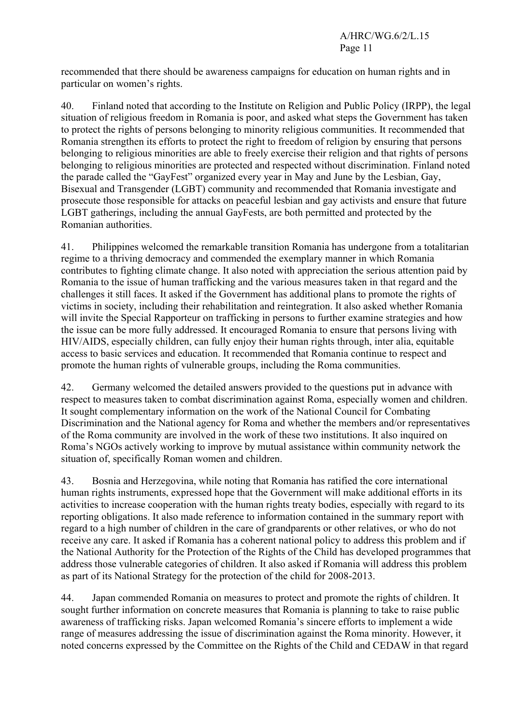recommended that there should be awareness campaigns for education on human rights and in particular on women's rights.

40. Finland noted that according to the Institute on Religion and Public Policy (IRPP), the legal situation of religious freedom in Romania is poor, and asked what steps the Government has taken to protect the rights of persons belonging to minority religious communities. It recommended that Romania strengthen its efforts to protect the right to freedom of religion by ensuring that persons belonging to religious minorities are able to freely exercise their religion and that rights of persons belonging to religious minorities are protected and respected without discrimination. Finland noted the parade called the "GayFest" organized every year in May and June by the Lesbian, Gay, Bisexual and Transgender (LGBT) community and recommended that Romania investigate and prosecute those responsible for attacks on peaceful lesbian and gay activists and ensure that future LGBT gatherings, including the annual GayFests, are both permitted and protected by the Romanian authorities.

41. Philippines welcomed the remarkable transition Romania has undergone from a totalitarian regime to a thriving democracy and commended the exemplary manner in which Romania contributes to fighting climate change. It also noted with appreciation the serious attention paid by Romania to the issue of human trafficking and the various measures taken in that regard and the challenges it still faces. It asked if the Government has additional plans to promote the rights of victims in society, including their rehabilitation and reintegration. It also asked whether Romania will invite the Special Rapporteur on trafficking in persons to further examine strategies and how the issue can be more fully addressed. It encouraged Romania to ensure that persons living with HIV/AIDS, especially children, can fully enjoy their human rights through, inter alia, equitable access to basic services and education. It recommended that Romania continue to respect and promote the human rights of vulnerable groups, including the Roma communities.

42. Germany welcomed the detailed answers provided to the questions put in advance with respect to measures taken to combat discrimination against Roma, especially women and children. It sought complementary information on the work of the National Council for Combating Discrimination and the National agency for Roma and whether the members and/or representatives of the Roma community are involved in the work of these two institutions. It also inquired on Roma's NGOs actively working to improve by mutual assistance within community network the situation of, specifically Roman women and children.

43. Bosnia and Herzegovina, while noting that Romania has ratified the core international human rights instruments, expressed hope that the Government will make additional efforts in its activities to increase cooperation with the human rights treaty bodies, especially with regard to its reporting obligations. It also made reference to information contained in the summary report with regard to a high number of children in the care of grandparents or other relatives, or who do not receive any care. It asked if Romania has a coherent national policy to address this problem and if the National Authority for the Protection of the Rights of the Child has developed programmes that address those vulnerable categories of children. It also asked if Romania will address this problem as part of its National Strategy for the protection of the child for 2008-2013.

44. Japan commended Romania on measures to protect and promote the rights of children. It sought further information on concrete measures that Romania is planning to take to raise public awareness of trafficking risks. Japan welcomed Romania's sincere efforts to implement a wide range of measures addressing the issue of discrimination against the Roma minority. However, it noted concerns expressed by the Committee on the Rights of the Child and CEDAW in that regard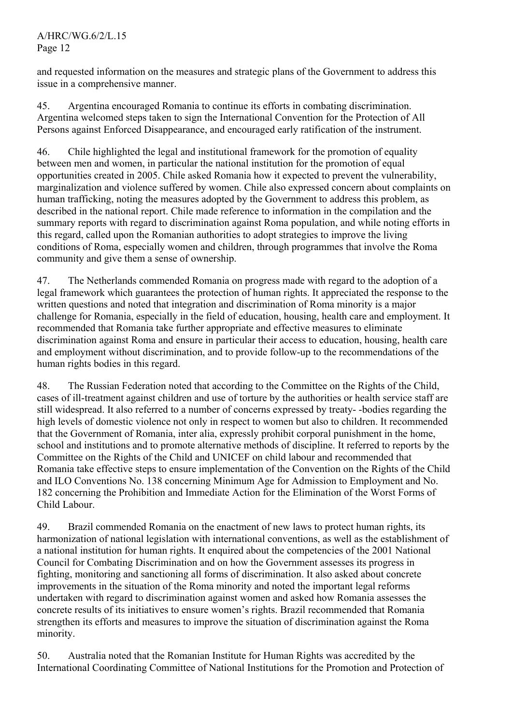and requested information on the measures and strategic plans of the Government to address this issue in a comprehensive manner.

45. Argentina encouraged Romania to continue its efforts in combating discrimination. Argentina welcomed steps taken to sign the International Convention for the Protection of All Persons against Enforced Disappearance, and encouraged early ratification of the instrument.

46. Chile highlighted the legal and institutional framework for the promotion of equality between men and women, in particular the national institution for the promotion of equal opportunities created in 2005. Chile asked Romania how it expected to prevent the vulnerability, marginalization and violence suffered by women. Chile also expressed concern about complaints on human trafficking, noting the measures adopted by the Government to address this problem, as described in the national report. Chile made reference to information in the compilation and the summary reports with regard to discrimination against Roma population, and while noting efforts in this regard, called upon the Romanian authorities to adopt strategies to improve the living conditions of Roma, especially women and children, through programmes that involve the Roma community and give them a sense of ownership.

47. The Netherlands commended Romania on progress made with regard to the adoption of a legal framework which guarantees the protection of human rights. It appreciated the response to the written questions and noted that integration and discrimination of Roma minority is a major challenge for Romania, especially in the field of education, housing, health care and employment. It recommended that Romania take further appropriate and effective measures to eliminate discrimination against Roma and ensure in particular their access to education, housing, health care and employment without discrimination, and to provide follow-up to the recommendations of the human rights bodies in this regard.

48. The Russian Federation noted that according to the Committee on the Rights of the Child, cases of ill-treatment against children and use of torture by the authorities or health service staff are still widespread. It also referred to a number of concerns expressed by treaty- -bodies regarding the high levels of domestic violence not only in respect to women but also to children. It recommended that the Government of Romania, inter alia, expressly prohibit corporal punishment in the home, school and institutions and to promote alternative methods of discipline. It referred to reports by the Committee on the Rights of the Child and UNICEF on child labour and recommended that Romania take effective steps to ensure implementation of the Convention on the Rights of the Child and ILO Conventions No. 138 concerning Minimum Age for Admission to Employment and No. 182 concerning the Prohibition and Immediate Action for the Elimination of the Worst Forms of Child Labour.

49. Brazil commended Romania on the enactment of new laws to protect human rights, its harmonization of national legislation with international conventions, as well as the establishment of a national institution for human rights. It enquired about the competencies of the 2001 National Council for Combating Discrimination and on how the Government assesses its progress in fighting, monitoring and sanctioning all forms of discrimination. It also asked about concrete improvements in the situation of the Roma minority and noted the important legal reforms undertaken with regard to discrimination against women and asked how Romania assesses the concrete results of its initiatives to ensure women's rights. Brazil recommended that Romania strengthen its efforts and measures to improve the situation of discrimination against the Roma minority.

50. Australia noted that the Romanian Institute for Human Rights was accredited by the International Coordinating Committee of National Institutions for the Promotion and Protection of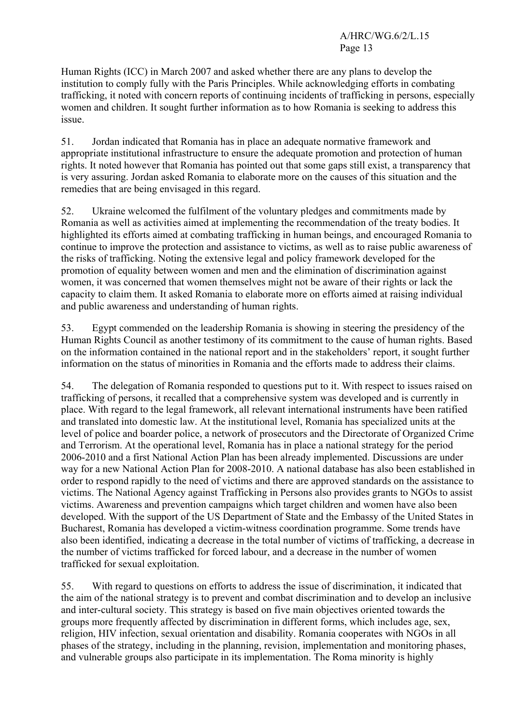Human Rights (ICC) in March 2007 and asked whether there are any plans to develop the institution to comply fully with the Paris Principles. While acknowledging efforts in combating trafficking, it noted with concern reports of continuing incidents of trafficking in persons, especially women and children. It sought further information as to how Romania is seeking to address this issue.

51. Jordan indicated that Romania has in place an adequate normative framework and appropriate institutional infrastructure to ensure the adequate promotion and protection of human rights. It noted however that Romania has pointed out that some gaps still exist, a transparency that is very assuring. Jordan asked Romania to elaborate more on the causes of this situation and the remedies that are being envisaged in this regard.

52. Ukraine welcomed the fulfilment of the voluntary pledges and commitments made by Romania as well as activities aimed at implementing the recommendation of the treaty bodies. It highlighted its efforts aimed at combating trafficking in human beings, and encouraged Romania to continue to improve the protection and assistance to victims, as well as to raise public awareness of the risks of trafficking. Noting the extensive legal and policy framework developed for the promotion of equality between women and men and the elimination of discrimination against women, it was concerned that women themselves might not be aware of their rights or lack the capacity to claim them. It asked Romania to elaborate more on efforts aimed at raising individual and public awareness and understanding of human rights.

53. Egypt commended on the leadership Romania is showing in steering the presidency of the Human Rights Council as another testimony of its commitment to the cause of human rights. Based on the information contained in the national report and in the stakeholders' report, it sought further information on the status of minorities in Romania and the efforts made to address their claims.

54. The delegation of Romania responded to questions put to it. With respect to issues raised on trafficking of persons, it recalled that a comprehensive system was developed and is currently in place. With regard to the legal framework, all relevant international instruments have been ratified and translated into domestic law. At the institutional level, Romania has specialized units at the level of police and boarder police, a network of prosecutors and the Directorate of Organized Crime and Terrorism. At the operational level, Romania has in place a national strategy for the period 2006-2010 and a first National Action Plan has been already implemented. Discussions are under way for a new National Action Plan for 2008-2010. A national database has also been established in order to respond rapidly to the need of victims and there are approved standards on the assistance to victims. The National Agency against Trafficking in Persons also provides grants to NGOs to assist victims. Awareness and prevention campaigns which target children and women have also been developed. With the support of the US Department of State and the Embassy of the United States in Bucharest, Romania has developed a victim-witness coordination programme. Some trends have also been identified, indicating a decrease in the total number of victims of trafficking, a decrease in the number of victims trafficked for forced labour, and a decrease in the number of women trafficked for sexual exploitation.

55. With regard to questions on efforts to address the issue of discrimination, it indicated that the aim of the national strategy is to prevent and combat discrimination and to develop an inclusive and inter-cultural society. This strategy is based on five main objectives oriented towards the groups more frequently affected by discrimination in different forms, which includes age, sex, religion, HIV infection, sexual orientation and disability. Romania cooperates with NGOs in all phases of the strategy, including in the planning, revision, implementation and monitoring phases, and vulnerable groups also participate in its implementation. The Roma minority is highly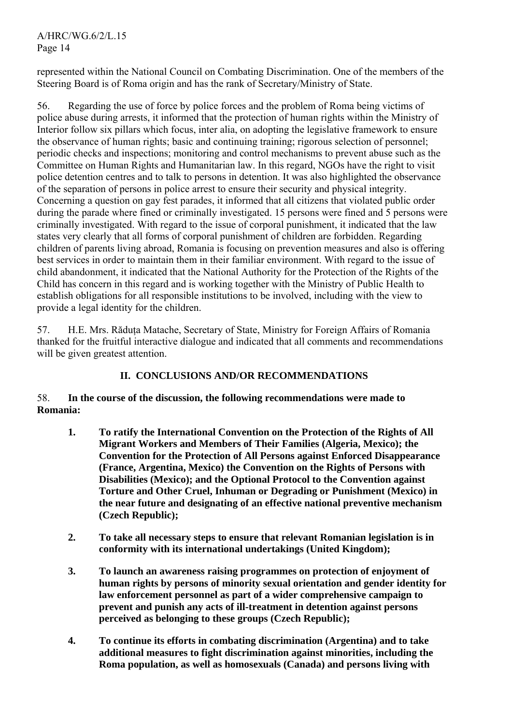represented within the National Council on Combating Discrimination. One of the members of the Steering Board is of Roma origin and has the rank of Secretary/Ministry of State.

56. Regarding the use of force by police forces and the problem of Roma being victims of police abuse during arrests, it informed that the protection of human rights within the Ministry of Interior follow six pillars which focus, inter alia, on adopting the legislative framework to ensure the observance of human rights; basic and continuing training; rigorous selection of personnel; periodic checks and inspections; monitoring and control mechanisms to prevent abuse such as the Committee on Human Rights and Humanitarian law. In this regard, NGOs have the right to visit police detention centres and to talk to persons in detention. It was also highlighted the observance of the separation of persons in police arrest to ensure their security and physical integrity. Concerning a question on gay fest parades, it informed that all citizens that violated public order during the parade where fined or criminally investigated. 15 persons were fined and 5 persons were criminally investigated. With regard to the issue of corporal punishment, it indicated that the law states very clearly that all forms of corporal punishment of children are forbidden. Regarding children of parents living abroad, Romania is focusing on prevention measures and also is offering best services in order to maintain them in their familiar environment. With regard to the issue of child abandonment, it indicated that the National Authority for the Protection of the Rights of the Child has concern in this regard and is working together with the Ministry of Public Health to establish obligations for all responsible institutions to be involved, including with the view to provide a legal identity for the children.

57. H.E. Mrs. Răduţa Matache, Secretary of State, Ministry for Foreign Affairs of Romania thanked for the fruitful interactive dialogue and indicated that all comments and recommendations will be given greatest attention.

## **II. CONCLUSIONS AND/OR RECOMMENDATIONS**

## 58. **In the course of the discussion, the following recommendations were made to Romania:**

- **1. To ratify the International Convention on the Protection of the Rights of All Migrant Workers and Members of Their Families (Algeria, Mexico); the Convention for the Protection of All Persons against Enforced Disappearance (France, Argentina, Mexico) the Convention on the Rights of Persons with Disabilities (Mexico); and the Optional Protocol to the Convention against Torture and Other Cruel, Inhuman or Degrading or Punishment (Mexico) in the near future and designating of an effective national preventive mechanism (Czech Republic);**
- **2. To take all necessary steps to ensure that relevant Romanian legislation is in conformity with its international undertakings (United Kingdom);**
- **3. To launch an awareness raising programmes on protection of enjoyment of human rights by persons of minority sexual orientation and gender identity for law enforcement personnel as part of a wider comprehensive campaign to prevent and punish any acts of ill-treatment in detention against persons perceived as belonging to these groups (Czech Republic);**
- **4. To continue its efforts in combating discrimination (Argentina) and to take additional measures to fight discrimination against minorities, including the Roma population, as well as homosexuals (Canada) and persons living with**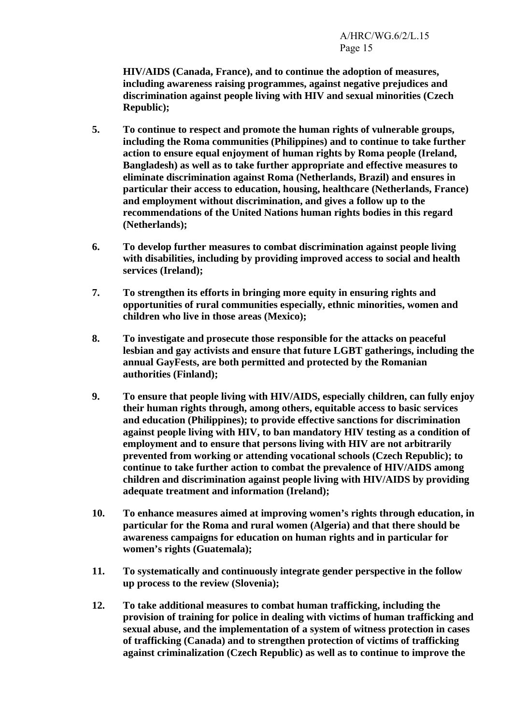**HIV/AIDS (Canada, France), and to continue the adoption of measures, including awareness raising programmes, against negative prejudices and discrimination against people living with HIV and sexual minorities (Czech Republic);** 

- **5. To continue to respect and promote the human rights of vulnerable groups, including the Roma communities (Philippines) and to continue to take further action to ensure equal enjoyment of human rights by Roma people (Ireland, Bangladesh) as well as to take further appropriate and effective measures to eliminate discrimination against Roma (Netherlands, Brazil) and ensures in particular their access to education, housing, healthcare (Netherlands, France) and employment without discrimination, and gives a follow up to the recommendations of the United Nations human rights bodies in this regard (Netherlands);**
- **6. To develop further measures to combat discrimination against people living with disabilities, including by providing improved access to social and health services (Ireland);**
- **7. To strengthen its efforts in bringing more equity in ensuring rights and opportunities of rural communities especially, ethnic minorities, women and children who live in those areas (Mexico);**
- **8. To investigate and prosecute those responsible for the attacks on peaceful lesbian and gay activists and ensure that future LGBT gatherings, including the annual GayFests, are both permitted and protected by the Romanian authorities (Finland);**
- **9. To ensure that people living with HIV/AIDS, especially children, can fully enjoy their human rights through, among others, equitable access to basic services and education (Philippines); to provide effective sanctions for discrimination against people living with HIV, to ban mandatory HIV testing as a condition of employment and to ensure that persons living with HIV are not arbitrarily prevented from working or attending vocational schools (Czech Republic); to continue to take further action to combat the prevalence of HIV/AIDS among children and discrimination against people living with HIV/AIDS by providing adequate treatment and information (Ireland);**
- **10. To enhance measures aimed at improving women's rights through education, in particular for the Roma and rural women (Algeria) and that there should be awareness campaigns for education on human rights and in particular for women's rights (Guatemala);**
- **11. To systematically and continuously integrate gender perspective in the follow up process to the review (Slovenia);**
- **12. To take additional measures to combat human trafficking, including the provision of training for police in dealing with victims of human trafficking and sexual abuse, and the implementation of a system of witness protection in cases of trafficking (Canada) and to strengthen protection of victims of trafficking against criminalization (Czech Republic) as well as to continue to improve the**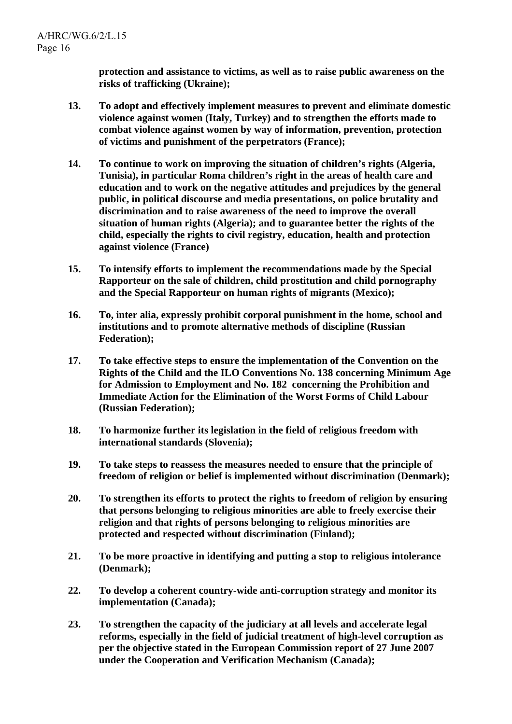**protection and assistance to victims, as well as to raise public awareness on the risks of trafficking (Ukraine);** 

- **13. To adopt and effectively implement measures to prevent and eliminate domestic violence against women (Italy, Turkey) and to strengthen the efforts made to combat violence against women by way of information, prevention, protection of victims and punishment of the perpetrators (France);**
- **14. To continue to work on improving the situation of children's rights (Algeria, Tunisia), in particular Roma children's right in the areas of health care and education and to work on the negative attitudes and prejudices by the general public, in political discourse and media presentations, on police brutality and discrimination and to raise awareness of the need to improve the overall situation of human rights (Algeria); and to guarantee better the rights of the child, especially the rights to civil registry, education, health and protection against violence (France)**
- **15. To intensify efforts to implement the recommendations made by the Special Rapporteur on the sale of children, child prostitution and child pornography and the Special Rapporteur on human rights of migrants (Mexico);**
- **16. To, inter alia, expressly prohibit corporal punishment in the home, school and institutions and to promote alternative methods of discipline (Russian Federation);**
- **17. To take effective steps to ensure the implementation of the Convention on the Rights of the Child and the ILO Conventions No. 138 concerning Minimum Age for Admission to Employment and No. 182 concerning the Prohibition and Immediate Action for the Elimination of the Worst Forms of Child Labour (Russian Federation);**
- **18. To harmonize further its legislation in the field of religious freedom with international standards (Slovenia);**
- **19. To take steps to reassess the measures needed to ensure that the principle of freedom of religion or belief is implemented without discrimination (Denmark);**
- **20. To strengthen its efforts to protect the rights to freedom of religion by ensuring that persons belonging to religious minorities are able to freely exercise their religion and that rights of persons belonging to religious minorities are protected and respected without discrimination (Finland);**
- **21. To be more proactive in identifying and putting a stop to religious intolerance (Denmark);**
- **22. To develop a coherent country-wide anti-corruption strategy and monitor its implementation (Canada);**
- **23. To strengthen the capacity of the judiciary at all levels and accelerate legal reforms, especially in the field of judicial treatment of high-level corruption as per the objective stated in the European Commission report of 27 June 2007 under the Cooperation and Verification Mechanism (Canada);**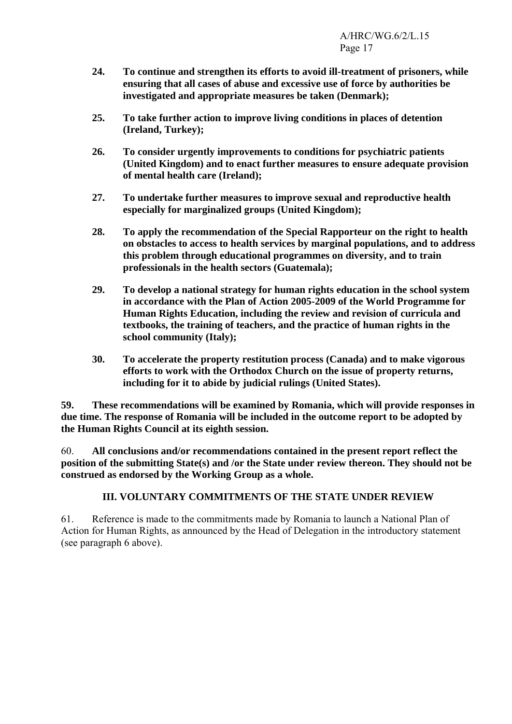- **24. To continue and strengthen its efforts to avoid ill-treatment of prisoners, while ensuring that all cases of abuse and excessive use of force by authorities be investigated and appropriate measures be taken (Denmark);**
- **25. To take further action to improve living conditions in places of detention (Ireland, Turkey);**
- **26. To consider urgently improvements to conditions for psychiatric patients (United Kingdom) and to enact further measures to ensure adequate provision of mental health care (Ireland);**
- **27. To undertake further measures to improve sexual and reproductive health especially for marginalized groups (United Kingdom);**
- **28. To apply the recommendation of the Special Rapporteur on the right to health on obstacles to access to health services by marginal populations, and to address this problem through educational programmes on diversity, and to train professionals in the health sectors (Guatemala);**
- **29. To develop a national strategy for human rights education in the school system in accordance with the Plan of Action 2005-2009 of the World Programme for Human Rights Education, including the review and revision of curricula and textbooks, the training of teachers, and the practice of human rights in the school community (Italy);**
- **30. To accelerate the property restitution process (Canada) and to make vigorous efforts to work with the Orthodox Church on the issue of property returns, including for it to abide by judicial rulings (United States).**

**59. These recommendations will be examined by Romania, which will provide responses in due time. The response of Romania will be included in the outcome report to be adopted by the Human Rights Council at its eighth session.** 

60. **All conclusions and/or recommendations contained in the present report reflect the position of the submitting State(s) and /or the State under review thereon. They should not be construed as endorsed by the Working Group as a whole.** 

# **III. VOLUNTARY COMMITMENTS OF THE STATE UNDER REVIEW**

61. Reference is made to the commitments made by Romania to launch a National Plan of Action for Human Rights, as announced by the Head of Delegation in the introductory statement (see paragraph 6 above).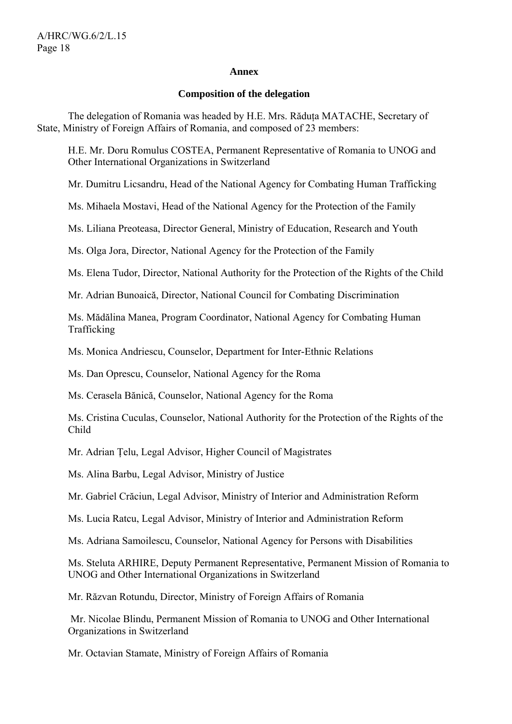#### **Annex**

#### **Composition of the delegation**

The delegation of Romania was headed by H.E. Mrs. Răduța MATACHE, Secretary of State, Ministry of Foreign Affairs of Romania, and composed of 23 members:

H.E. Mr. Doru Romulus COSTEA, Permanent Representative of Romania to UNOG and Other International Organizations in Switzerland

Mr. Dumitru Licsandru, Head of the National Agency for Combating Human Trafficking

Ms. Mihaela Mostavi, Head of the National Agency for the Protection of the Family

Ms. Liliana Preoteasa, Director General, Ministry of Education, Research and Youth

Ms. Olga Jora, Director, National Agency for the Protection of the Family

Ms. Elena Tudor, Director, National Authority for the Protection of the Rights of the Child

Mr. Adrian Bunoaică, Director, National Council for Combating Discrimination

Ms. Mădălina Manea, Program Coordinator, National Agency for Combating Human Trafficking

Ms. Monica Andriescu, Counselor, Department for Inter-Ethnic Relations

Ms. Dan Oprescu, Counselor, National Agency for the Roma

Ms. Cerasela Bănică, Counselor, National Agency for the Roma

Ms. Cristina Cuculas, Counselor, National Authority for the Protection of the Rights of the Child

Mr. Adrian Ţelu, Legal Advisor, Higher Council of Magistrates

Ms. Alina Barbu, Legal Advisor, Ministry of Justice

Mr. Gabriel Crăciun, Legal Advisor, Ministry of Interior and Administration Reform

Ms. Lucia Ratcu, Legal Advisor, Ministry of Interior and Administration Reform

Ms. Adriana Samoilescu, Counselor, National Agency for Persons with Disabilities

Ms. Steluta ARHIRE, Deputy Permanent Representative, Permanent Mission of Romania to UNOG and Other International Organizations in Switzerland

Mr. Răzvan Rotundu, Director, Ministry of Foreign Affairs of Romania

 Mr. Nicolae Blindu, Permanent Mission of Romania to UNOG and Other International Organizations in Switzerland

Mr. Octavian Stamate, Ministry of Foreign Affairs of Romania